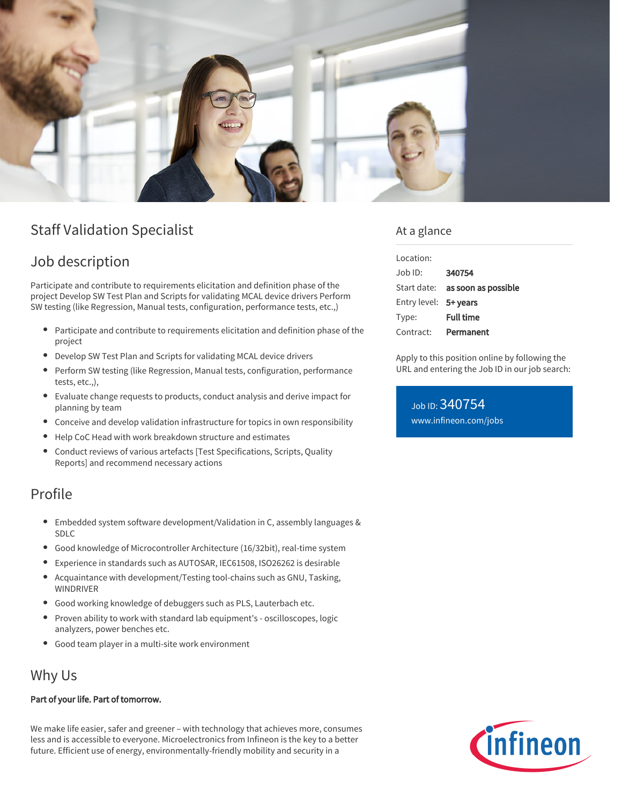

# Staff Validation Specialist

## Job description

Participate and contribute to requirements elicitation and definition phase of the project Develop SW Test Plan and Scripts for validating MCAL device drivers Perform SW testing (like Regression, Manual tests, configuration, performance tests, etc.,)

- $\bullet$ Participate and contribute to requirements elicitation and definition phase of the project
- $\bullet$ Develop SW Test Plan and Scripts for validating MCAL device drivers
- Perform SW testing (like Regression, Manual tests, configuration, performance tests, etc.,),
- Evaluate change requests to products, conduct analysis and derive impact for planning by team
- Conceive and develop validation infrastructure for topics in own responsibility
- Help CoC Head with work breakdown structure and estimates  $\bullet$
- Conduct reviews of various artefacts [Test Specifications, Scripts, Quality Reports] and recommend necessary actions

### Profile

- Embedded system software development/Validation in C, assembly languages & SDLC
- Good knowledge of Microcontroller Architecture (16/32bit), real-time system
- Experience in standards such as AUTOSAR, IEC61508, ISO26262 is desirable
- Acquaintance with development/Testing tool-chains such as GNU, Tasking,  $\bullet$ WINDRIVER
- Good working knowledge of debuggers such as PLS, Lauterbach etc.
- $\bullet$ Proven ability to work with standard lab equipment's - oscilloscopes, logic analyzers, power benches etc.
- Good team player in a multi-site work environment  $\bullet$

### Why Us

#### Part of your life. Part of tomorrow.

We make life easier, safer and greener – with technology that achieves more, consumes less and is accessible to everyone. Microelectronics from Infineon is the key to a better future. Efficient use of energy, environmentally-friendly mobility and security in a

#### At a glance

| Location:             |                                        |
|-----------------------|----------------------------------------|
| Job ID:               | 340754                                 |
|                       | Start date: <b>as soon as possible</b> |
| Entry level: 5+ years |                                        |
| Type:                 | <b>Full time</b>                       |
| Contract:             | Permanent                              |

Apply to this position online by following the URL and entering the Job ID in our job search:

Job ID: 340754 [www.infineon.com/jobs](https://www.infineon.com/jobs)